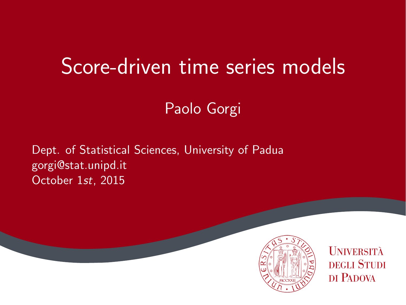# Score-driven time series models

Paolo Gorgi

Dept. of Statistical Sciences, University of Padua gorgi@stat.unipd.it October 1st, 2015



**UNIVERSITÀ DEGLI STUDI** DI PADOVA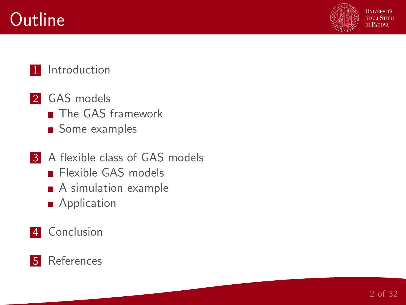



**HNIVERSITÀ** necu Stuni DI PADOVA

#### 1 [Introduction](#page-2-0)

- 2 [GAS models](#page-2-0) **[The GAS framework](#page-2-0)** 
	- [Some examples](#page-2-0)
- **3** [A flexible class of GAS models](#page-2-0) **[Flexible GAS models](#page-2-0)** 
	- [A simulation example](#page-2-0)
	- **[Application](#page-2-0)**
- 4 [Conclusion](#page-2-0)

#### **5** [References](#page-2-0)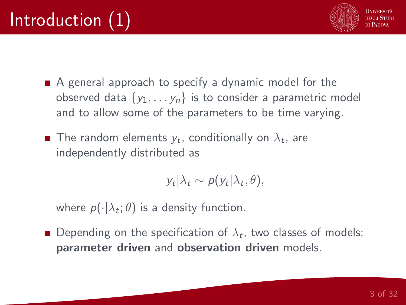

- <span id="page-2-0"></span>A general approach to specify a dynamic model for the observed data  $\{y_1, \ldots, y_n\}$  is to consider a parametric model and to allow some of the parameters to be time varying.
- The random elements  $y_t$ , conditionally on  $\lambda_t$ , are independently distributed as

$$
y_t|\lambda_t \sim p(y_t|\lambda_t, \theta),
$$

where  $p(\cdot|\lambda_t;\theta)$  is a density function.

Depending on the specification of  $\lambda_t$ , two classes of models: parameter driven and observation driven models.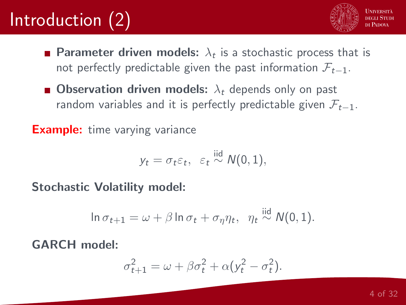# Introduction (2)



- **Parameter driven models:**  $\lambda_t$  is a stochastic process that is not perfectly predictable given the past information  $\mathcal{F}_{t-1}$ .
- **Observation driven models:**  $\lambda_t$  depends only on past random variables and it is perfectly predictable given  $\mathcal{F}_{t-1}$ .

**Example:** time varying variance

$$
y_t = \sigma_t \varepsilon_t, \ \varepsilon_t \stackrel{\text{iid}}{\sim} N(0, 1),
$$

Stochastic Volatility model:

$$
\ln \sigma_{t+1} = \omega + \beta \ln \sigma_t + \sigma_{\eta} \eta_t, \ \eta_t \stackrel{\text{iid}}{\sim} N(0, 1).
$$

GARCH model:

$$
\sigma_{t+1}^2 = \omega + \beta \sigma_t^2 + \alpha (y_t^2 - \sigma_t^2).
$$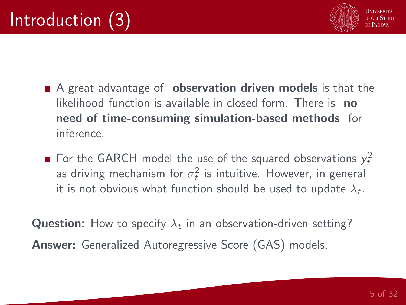

- A great advantage of **observation driven models** is that the likelihood function is available in closed form. There is no need of time-consuming simulation-based methods for inference.
- For the GARCH model the use of the squared observations  $y_t^2$ as driving mechanism for  $\sigma_t^2$  is intuitive. However, in general it is not obvious what function should be used to update  $\lambda_t.$

**Question:** How to specify  $\lambda_t$  in an observation-driven setting? Answer: Generalized Autoregressive Score (GAS) models.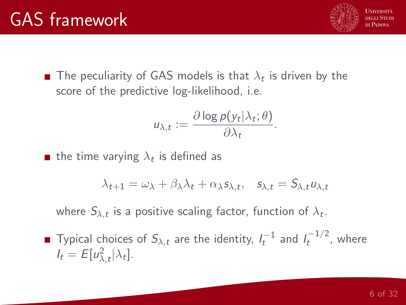

The peculiarity of GAS models is that  $\lambda_t$  is driven by the score of the predictive log-likelihood, i.e.

$$
u_{\lambda,t} := \frac{\partial \log p(y_t | \lambda_t; \theta)}{\partial \lambda_t}.
$$

the time varying  $\lambda_t$  is defined as

$$
\lambda_{t+1} = \omega_{\lambda} + \beta_{\lambda}\lambda_t + \alpha_{\lambda} s_{\lambda,t}, \quad s_{\lambda,t} = S_{\lambda,t} u_{\lambda,t}
$$

where  $S_{\lambda,t}$  is a positive scaling factor, function of  $\lambda_t.$ 

Typical choices of  $S_{\lambda,t}$  are the identity,  $I_t^{-1}$  and  $I_t^{-1/2}$  $t^{(-1/2)}$ , where  $I_t = E[u_{\lambda,t}^2|\lambda_t].$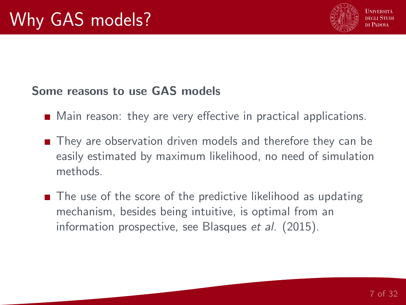

#### Some reasons to use GAS models

- **Main reason: they are very effective in practical applications.**
- They are observation driven models and therefore they can be easily estimated by maximum likelihood, no need of simulation methods.
- The use of the score of the predictive likelihood as updating mechanism, besides being intuitive, is optimal from an information prospective, see Blasques et al. (2015).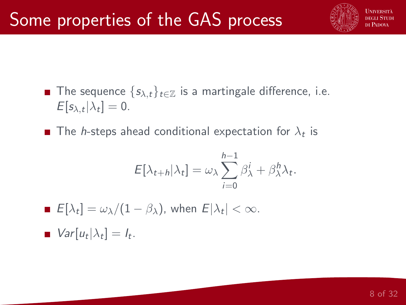

- **■** The sequence  $\{s_{\lambda,t}\}_t \in \mathbb{Z}$  is a martingale difference, i.e.  $E[s_{\lambda,t}|\lambda_t]=0.$
- The *h*-steps ahead conditional expectation for  $\lambda_t$  is

$$
E[\lambda_{t+h}|\lambda_t] = \omega_\lambda \sum_{i=0}^{h-1} \beta_\lambda^i + \beta_\lambda^h \lambda_t.
$$

 $E[\lambda_t] = \omega_{\lambda}/(1-\beta_{\lambda})$ , when  $E[\lambda_t] < \infty$ .  $Var[u_t|\lambda_t] = I_t.$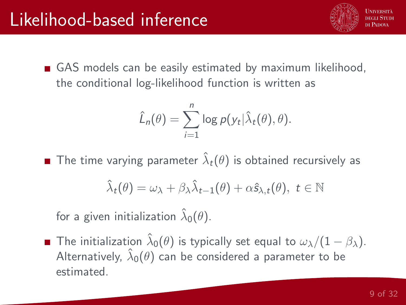

GAS models can be easily estimated by maximum likelihood, the conditional log-likelihood function is written as

$$
\hat{L}_n(\theta) = \sum_{i=1}^n \log p(y_t | \hat{\lambda}_t(\theta), \theta).
$$

The time varying parameter  $\hat{\lambda}_t(\theta)$  is obtained recursively as

$$
\hat{\lambda}_t(\theta) = \omega_{\lambda} + \beta_{\lambda} \hat{\lambda}_{t-1}(\theta) + \alpha \hat{s}_{\lambda, t}(\theta), \ t \in \mathbb{N}
$$

for a given initialization  $\hat{\lambda}_0(\theta).$ 

The initialization  $\hat{\lambda}_0(\theta)$  is typically set equal to  $\omega_\lambda/(1-\beta_\lambda).$ Alternatively,  $\hat{\lambda}_0(\theta)$  can be considered a parameter to be estimated.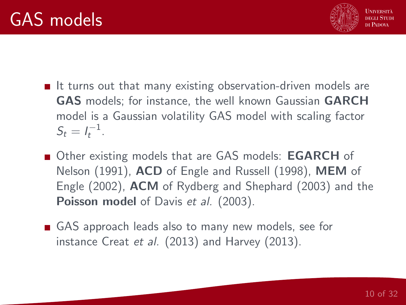

- $\blacksquare$  It turns out that many existing observation-driven models are GAS models; for instance, the well known Gaussian GARCH model is a Gaussian volatility GAS model with scaling factor  $S_t = I_t^{-1}$ .
- Other existing models that are GAS models: **EGARCH** of Nelson (1991), ACD of Engle and Russell (1998), MEM of Engle (2002), ACM of Rydberg and Shephard (2003) and the **Poisson model** of Davis et al. (2003).
- GAS approach leads also to many new models, see for instance Creat et al. (2013) and Harvey (2013).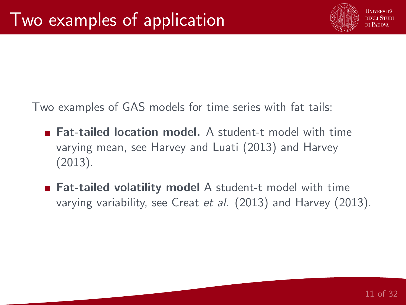

Two examples of GAS models for time series with fat tails:

- **Fat-tailed location model.** A student-t model with time varying mean, see Harvey and Luati (2013) and Harvey (2013).
- Fat-tailed volatility model A student-t model with time varying variability, see Creat et al. (2013) and Harvey (2013).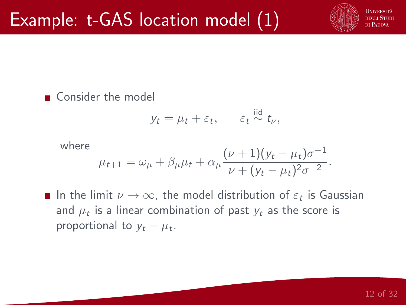

■ Consider the model

$$
y_t = \mu_t + \varepsilon_t, \qquad \varepsilon_t \stackrel{\text{iid}}{\sim} t_\nu,
$$

#### where  $\mu_{t+1} = \omega_{\mu} + \beta_{\mu}\mu_t + \alpha_{\mu} \frac{(\nu+1)(y_t - \mu_t)\sigma^{-1}}{\mu_t + \mu_t}$  $\frac{\mu_1}{\nu + (\mu_t - \mu_t)^2 \sigma^{-2}}$ .

In the limit  $\nu \to \infty$ , the model distribution of  $\varepsilon_t$  is Gaussian and  $\mu_t$  is a linear combination of past  $y_t$  as the score is proportional to  $y_t - \mu_t$ .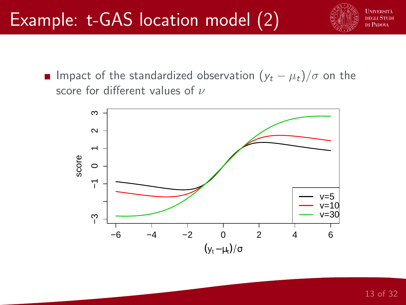

**■** Impact of the standardized observation  $(y_t - \mu_t)/\sigma$  on the score for different values of  $\nu$ 

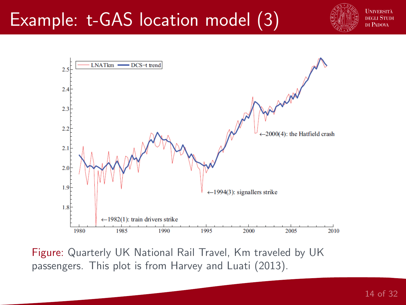## Example: t-GAS location model (3)





Figure: Quarterly UK National Rail Travel, Km traveled by UK passengers. This plot is from Harvey and Luati (2013).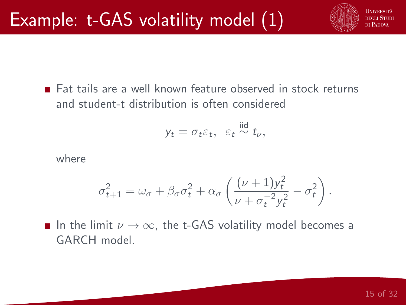

**Eat tails are a well known feature observed in stock returns** and student-t distribution is often considered

$$
y_t = \sigma_t \varepsilon_t, \ \varepsilon_t \stackrel{\text{iid}}{\sim} t_\nu,
$$

where

$$
\sigma_{t+1}^2 = \omega_{\sigma} + \beta_{\sigma} \sigma_t^2 + \alpha_{\sigma} \left( \frac{(\nu + 1) y_t^2}{\nu + \sigma_t^{-2} y_t^2} - \sigma_t^2 \right).
$$

**■** In the limit  $\nu \rightarrow \infty$ , the t-GAS volatility model becomes a GARCH model.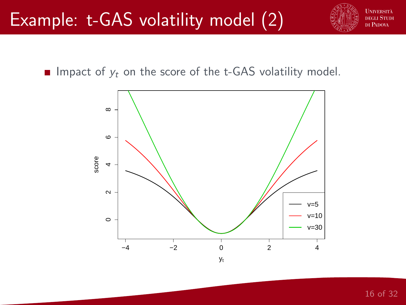**UNIVERSITÀ** necu Stuni DI PADOVA

Impact of  $y_t$  on the score of the t-GAS volatility model.

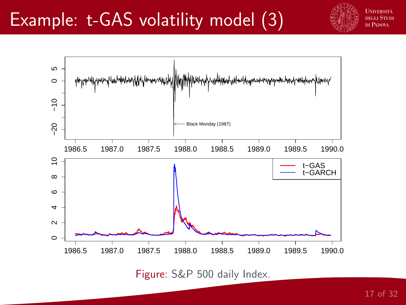

 $\overline{5}$  $\circ$  $-10$ −20 −10  $-20$ Black Monday (1987) 1986.5 1987.0 1987.5 1988.0 1988.5 1989.0 1989.5 1990.0  $\tilde{e}$ t−GAS t−GARCH  $\infty$ 6 $\rightarrow$  $\sim$  $\circ$ 1986.5 1987.0 1987.5 1988.0 1988.5 1989.0 1989.5 1990.0

Figure: S&P 500 daily Index.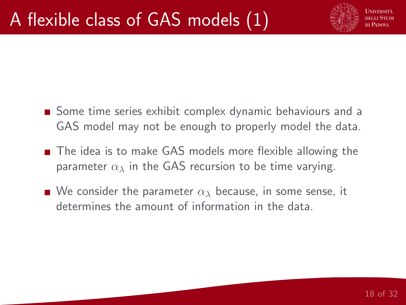

- Some time series exhibit complex dynamic behaviours and a GAS model may not be enough to properly model the data.
- The idea is to make GAS models more flexible allowing the parameter  $\alpha_{\lambda}$  in the GAS recursion to be time varying.
- We consider the parameter  $\alpha_{\lambda}$  because, in some sense, it determines the amount of information in the data.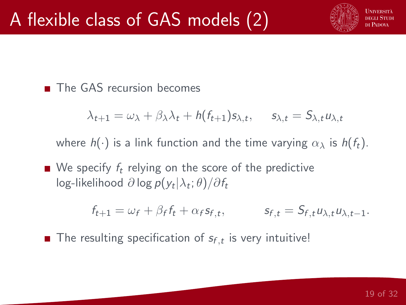

The GAS recursion becomes

$$
\lambda_{t+1} = \omega_{\lambda} + \beta_{\lambda} \lambda_t + h(f_{t+1}) s_{\lambda,t}, \quad s_{\lambda,t} = S_{\lambda,t} u_{\lambda,t}
$$

where  $h(\cdot)$  is a link function and the time varying  $\alpha_{\lambda}$  is  $h(f_t)$ .

 $\blacksquare$  We specify  $f_t$  relying on the score of the predictive log-likelihood  $\partial$  log  $p(y_t|\lambda_t;\theta)/\partial f_t$ 

$$
f_{t+1} = \omega_f + \beta_f f_t + \alpha_f s_{f,t}, \qquad s_{f,t} = S_{f,t} u_{\lambda,t} u_{\lambda,t-1}.
$$

The resulting specification of  $s_{f,t}$  is very intuitive!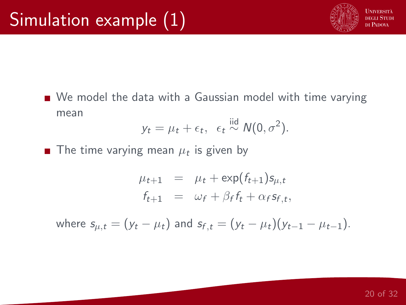

We model the data with a Gaussian model with time varying mean

$$
y_t = \mu_t + \epsilon_t, \ \epsilon_t \stackrel{\text{iid}}{\sim} N(0, \sigma^2).
$$

The time varying mean  $\mu_t$  is given by

$$
\mu_{t+1} = \mu_t + \exp(f_{t+1})s_{\mu,t}
$$
  

$$
f_{t+1} = \omega_f + \beta_f f_t + \alpha_f s_{f,t},
$$

where  $s_{\mu,t} = (y_t - \mu_t)$  and  $s_{f,t} = (y_t - \mu_t)(y_{t-1} - \mu_{t-1}).$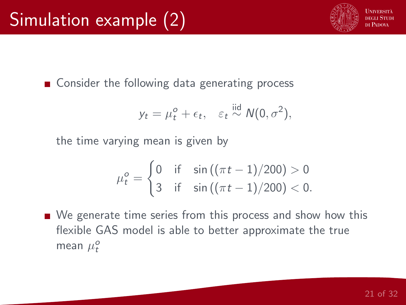■ Consider the following data generating process

$$
y_t = \mu_t^o + \epsilon_t, \quad \varepsilon_t \stackrel{\text{iid}}{\sim} N(0, \sigma^2),
$$

the time varying mean is given by

$$
\mu_t^o = \begin{cases} 0 & \text{if } \sin((\pi t - 1)/200) > 0 \\ 3 & \text{if } \sin((\pi t - 1)/200) < 0. \end{cases}
$$

■ We generate time series from this process and show how this flexible GAS model is able to better approximate the true mean  $\mu_t^o$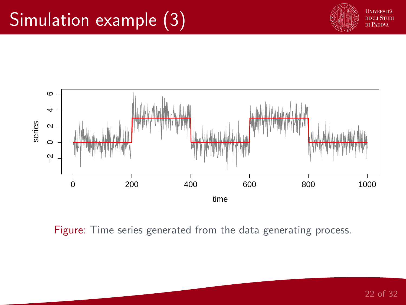## Simulation example (3)





Figure: Time series generated from the data generating process.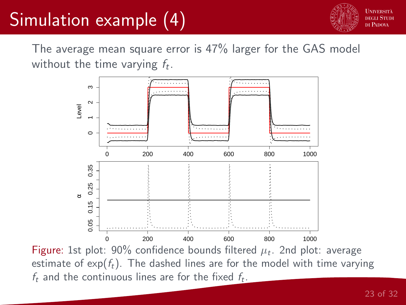# Simulation example (4)



The average mean square error is 47% larger for the GAS model without the time varying  $f_t$ .



Figure: 1st plot: 90% confidence bounds filtered  $\mu_t$ . 2nd plot: average estimate of  $exp(f_t)$ . The dashed lines are for the model with time varying  $f_t$  and the continuous lines are for the fixed  $f_t$ .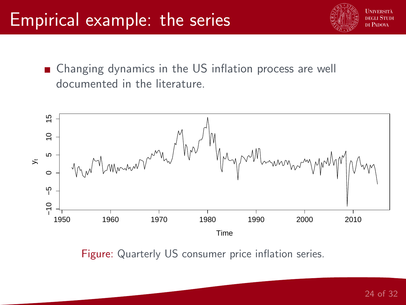### Empirical example: the series



■ Changing dynamics in the US inflation process are well documented in the literature.



Figure: Quarterly US consumer price inflation series.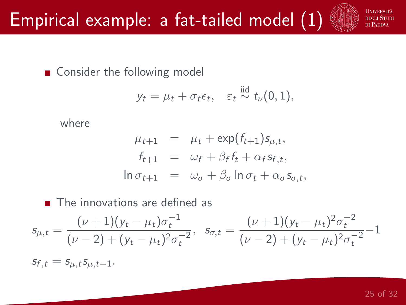Consider the following model

$$
y_t = \mu_t + \sigma_t \epsilon_t, \quad \varepsilon_t \stackrel{\text{iid}}{\sim} t_\nu(0,1),
$$

where

$$
\mu_{t+1} = \mu_t + \exp(f_{t+1})s_{\mu,t},
$$
  
\n
$$
f_{t+1} = \omega_f + \beta_f f_t + \alpha_f s_{f,t},
$$
  
\n
$$
\ln \sigma_{t+1} = \omega_{\sigma} + \beta_{\sigma} \ln \sigma_t + \alpha_{\sigma} s_{\sigma,t},
$$

■ The innovations are defined as  $s_{\mu,t} = \frac{(\nu+1)(y_t - \mu_t)\sigma_t^{-1}}{(2\mu_t + \mu_t)^2}$  $(\nu - 2) + (y_t - \mu_t)^2 \sigma_t^{-2}$  $s_{\sigma,t} = \frac{(\nu+1)(y_t - \mu_t)^2 \sigma_t^{-2}}{(2 \mu_t)^2 + (\mu_t)^2 \sigma_t^{-2}}$  $(\nu - 2) + (y_t - \mu_t)^2 \sigma_t^{-2}$ −1

 $s_{f,t} = s_{u,t} s_{u,t-1}.$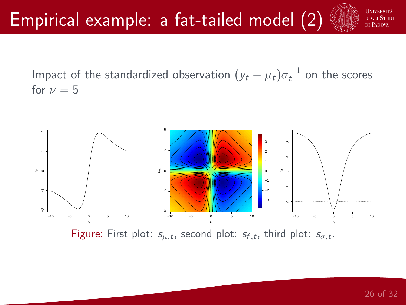

Impact of the standardized observation  $(y_t - \mu_t) \sigma_t^{-1}$  on the scores for  $\nu = 5$ 



Figure: First plot:  $s_{\mu,t}$ , second plot:  $s_{f,t}$ , third plot:  $s_{\sigma,t}$ .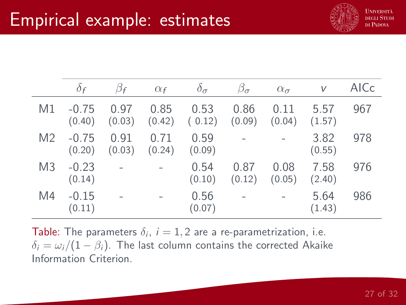

|                | $\partial f$      | $\beta_f$      | $\alpha_f$     | $\delta_{\sigma}$         | $\beta_{\sigma}$ | $\alpha_{\sigma}$ | V              | AICc |
|----------------|-------------------|----------------|----------------|---------------------------|------------------|-------------------|----------------|------|
| M1             | $-0.75$<br>(0.40) | 0.97<br>(0.03) | 0.85           | 0.53<br>$(0.42)$ $(0.12)$ | 0.86<br>(0.09)   | 0.11<br>(0.04)    | 5.57<br>(1.57) | 967  |
| M <sub>2</sub> | $-0.75$<br>(0.20) | 0.91<br>(0.03) | 0.71<br>(0.24) | 0.59<br>(0.09)            |                  |                   | 3.82<br>(0.55) | 978  |
| M <sub>3</sub> | $-0.23$<br>(0.14) |                |                | 0.54<br>(0.10)            | 0.87<br>(0.12)   | 0.08<br>(0.05)    | 7.58<br>(2.40) | 976  |
| M4             | $-0.15$<br>(0.11) |                |                | 0.56<br>(0.07)            |                  |                   | 5.64<br>(1.43) | 986  |

**Table**: The parameters  $\delta_i$ ,  $i = 1, 2$  are a re-parametrization, i.e.  $\delta_i = \omega_i/(1 - \beta_i)$ . The last column contains the corrected Akaike Information Criterion.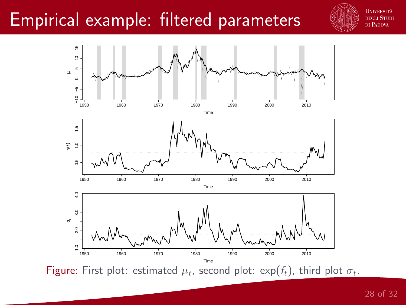#### Empirical example: filtered parameters





Figure: First plot: estimated  $\mu_t$ , second plot: exp( $f_t$ ), third plot  $\sigma_t$ .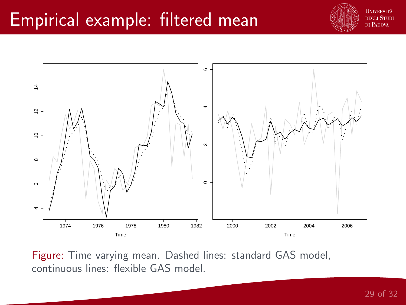### Empirical example: filtered mean





Figure: Time varying mean. Dashed lines: standard GAS model, continuous lines: flexible GAS model.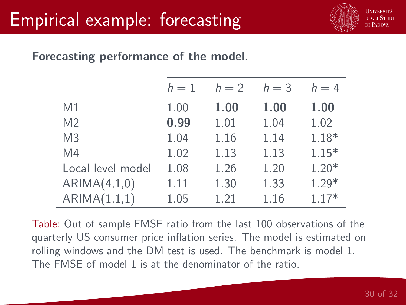

#### Forecasting performance of the model.

|                   | $h=1$ | $h=2$ | $h=3$ | $h=4$   |
|-------------------|-------|-------|-------|---------|
| M1                | 1.00  | 1.00  | 1.00  | 1.00    |
| M <sub>2</sub>    | 0.99  | 1.01  | 1.04  | 1.02    |
| M <sub>3</sub>    | 1.04  | 1.16  | 1.14  | $1.18*$ |
| M4                | 1.02  | 1.13  | 1.13  | $1.15*$ |
| Local level model | 1.08  | 1.26  | 1.20  | $1.20*$ |
| ARIMA(4,1,0)      | 1.11  | 1.30  | 1.33  | $1.29*$ |
| ARIMA(1,1,1)      | 1.05  | 1.21  | 1.16  | $1.17*$ |

Table: Out of sample FMSE ratio from the last 100 observations of the quarterly US consumer price inflation series. The model is estimated on rolling windows and the DM test is used. The benchmark is model 1. The FMSE of model 1 is at the denominator of the ratio.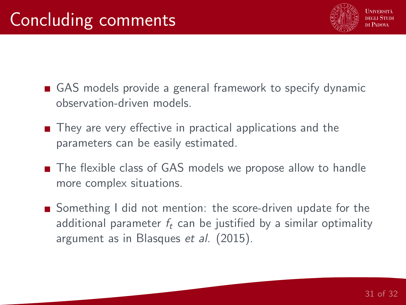

- GAS models provide a general framework to specify dynamic observation-driven models.
- They are very effective in practical applications and the parameters can be easily estimated.
- The flexible class of GAS models we propose allow to handle more complex situations.
- Something I did not mention: the score-driven update for the additional parameter  $f_t$  can be justified by a similar optimality argument as in Blasques et al. (2015).